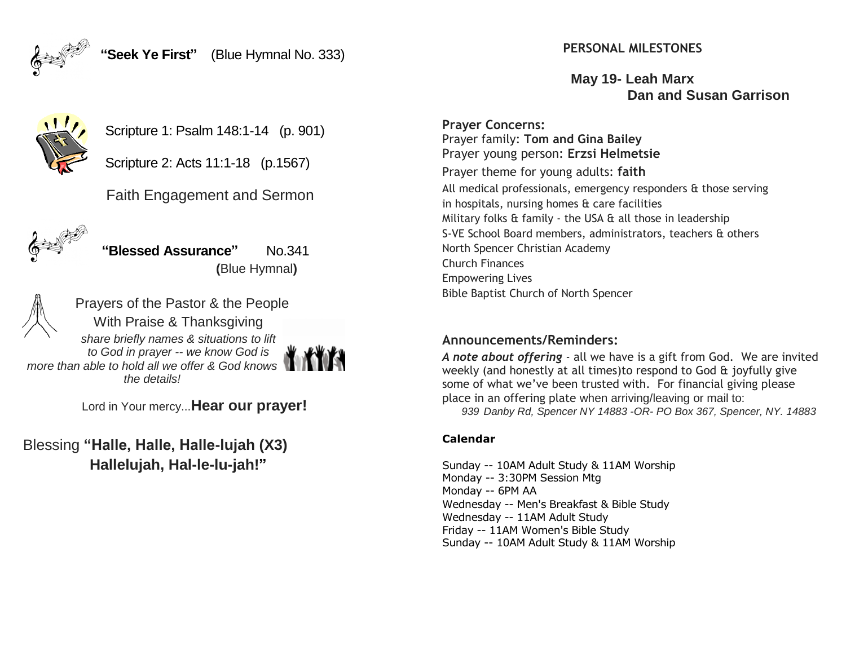

**PERSONAL MILESTONES**

**May 19- Leah Marx Dan and Susan Garrison**

**Prayer Concerns:** Prayer family: **Tom and Gina Bailey** Prayer young person: **Erzsi Helmetsie** Prayer theme for young adults: **faith** All medical professionals, emergency responders & those serving in hospitals, nursing homes & care facilities Military folks  $\hat{a}$  family - the USA  $\hat{a}$  all those in leadership S-VE School Board members, administrators, teachers & others North Spencer Christian Academy Church Finances Empowering Lives Bible Baptist Church of North Spencer

## **Announcements/Reminders:**

*A note about offering* - all we have is a gift from God. We are invited weekly (and honestly at all times)to respond to God & joyfully give some of what we've been trusted with. For financial giving please place in an offering plate when arriving/leaving or mail to: *939 Danby Rd, Spencer NY 14883 -OR- PO Box 367, Spencer, NY. 14883*

### **Calendar**

Sunday -- 10AM Adult Study & 11AM Worship Monday -- 3:30PM Session Mtg Monday -- 6PM AA Wednesday -- Men's Breakfast & Bible Study Wednesday -- 11AM Adult Study Friday -- 11AM Women's Bible Study Sunday -- 10AM Adult Study & 11AM Worship



Scripture 2: Acts 11:1-18 (p.1567)

Scripture 1: Psalm 148:1-14 (p. 901)

Faith Engagement and Sermon



**"Blessed Assurance"** No.341  **(**Blue Hymnal**)** 



Prayers of the Pastor & the People With Praise & Thanksgiving *share briefly names & situations to lift to God in prayer -- we know God is more than able to hold all we offer & God knows the details!* 

Lord in Your mercy...**Hear our prayer!**

Blessing **"Halle, Halle, Halle-lujah (X3) Hallelujah, Hal-le-lu-jah!"**